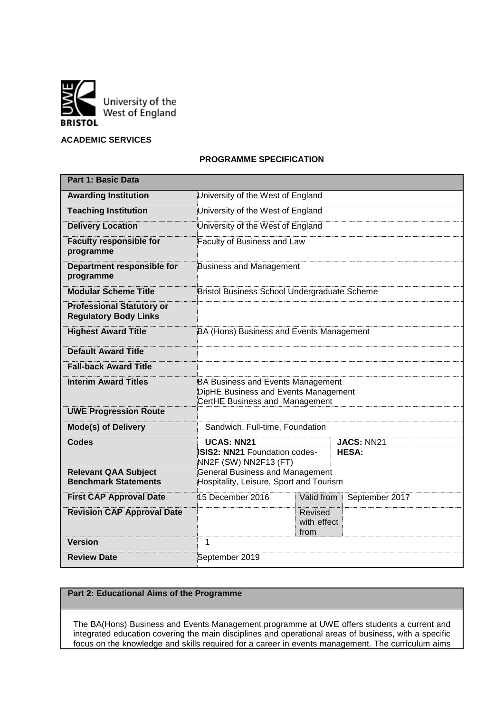

## **ACADEMIC SERVICES**

## **PROGRAMME SPECIFICATION**

| <b>Part 1: Basic Data</b>                                        |                                                                                                                    |                                |                |  |  |  |  |  |  |
|------------------------------------------------------------------|--------------------------------------------------------------------------------------------------------------------|--------------------------------|----------------|--|--|--|--|--|--|
| <b>Awarding Institution</b>                                      | University of the West of England                                                                                  |                                |                |  |  |  |  |  |  |
| <b>Teaching Institution</b>                                      | University of the West of England                                                                                  |                                |                |  |  |  |  |  |  |
| <b>Delivery Location</b>                                         | University of the West of England                                                                                  |                                |                |  |  |  |  |  |  |
| <b>Faculty responsible for</b><br>programme                      | Faculty of Business and Law                                                                                        |                                |                |  |  |  |  |  |  |
| Department responsible for<br>programme                          | <b>Business and Management</b>                                                                                     |                                |                |  |  |  |  |  |  |
| <b>Modular Scheme Title</b>                                      | Bristol Business School Undergraduate Scheme                                                                       |                                |                |  |  |  |  |  |  |
| <b>Professional Statutory or</b><br><b>Regulatory Body Links</b> |                                                                                                                    |                                |                |  |  |  |  |  |  |
| <b>Highest Award Title</b>                                       | BA (Hons) Business and Events Management                                                                           |                                |                |  |  |  |  |  |  |
| <b>Default Award Title</b>                                       |                                                                                                                    |                                |                |  |  |  |  |  |  |
| <b>Fall-back Award Title</b>                                     |                                                                                                                    |                                |                |  |  |  |  |  |  |
| <b>Interim Award Titles</b>                                      | <b>BA Business and Events Management</b><br>DipHE Business and Events Management<br>CertHE Business and Management |                                |                |  |  |  |  |  |  |
| <b>UWE Progression Route</b>                                     |                                                                                                                    |                                |                |  |  |  |  |  |  |
| <b>Mode(s) of Delivery</b>                                       | Sandwich, Full-time, Foundation                                                                                    |                                |                |  |  |  |  |  |  |
| <b>Codes</b>                                                     | <b>UCAS: NN21</b><br>JACS: NN21<br><b>ISIS2: NN21 Foundation codes-</b><br><b>HESA:</b><br>NN2F (SW) NN2F13 (FT)   |                                |                |  |  |  |  |  |  |
| <b>Relevant QAA Subject</b><br><b>Benchmark Statements</b>       | <b>General Business and Management</b><br>Hospitality, Leisure, Sport and Tourism                                  |                                |                |  |  |  |  |  |  |
| <b>First CAP Approval Date</b>                                   | 15 December 2016                                                                                                   | Valid from                     | September 2017 |  |  |  |  |  |  |
| <b>Revision CAP Approval Date</b>                                |                                                                                                                    | Revised<br>with effect<br>from |                |  |  |  |  |  |  |
| <b>Version</b>                                                   | 1                                                                                                                  |                                |                |  |  |  |  |  |  |
| <b>Review Date</b>                                               | September 2019                                                                                                     |                                |                |  |  |  |  |  |  |

## **Part 2: Educational Aims of the Programme**

The BA(Hons) Business and Events Management programme at UWE offers students a current and integrated education covering the main disciplines and operational areas of business, with a specific focus on the knowledge and skills required for a career in events management. The curriculum aims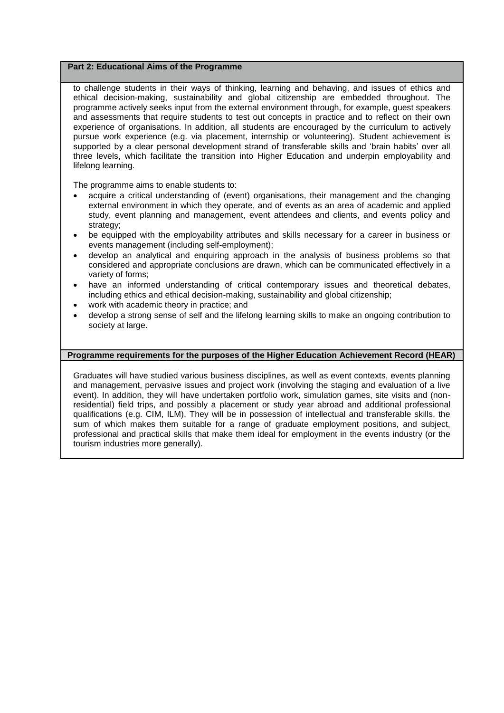### **Part 2: Educational Aims of the Programme**

to challenge students in their ways of thinking, learning and behaving, and issues of ethics and ethical decision-making, sustainability and global citizenship are embedded throughout. The programme actively seeks input from the external environment through, for example, guest speakers and assessments that require students to test out concepts in practice and to reflect on their own experience of organisations. In addition, all students are encouraged by the curriculum to actively pursue work experience (e.g. via placement, internship or volunteering). Student achievement is supported by a clear personal development strand of transferable skills and 'brain habits' over all three levels, which facilitate the transition into Higher Education and underpin employability and lifelong learning.

The programme aims to enable students to:

- acquire a critical understanding of (event) organisations, their management and the changing external environment in which they operate, and of events as an area of academic and applied study, event planning and management, event attendees and clients, and events policy and strategy;
- be equipped with the employability attributes and skills necessary for a career in business or events management (including self-employment);
- develop an analytical and enquiring approach in the analysis of business problems so that considered and appropriate conclusions are drawn, which can be communicated effectively in a variety of forms;
- have an informed understanding of critical contemporary issues and theoretical debates, including ethics and ethical decision-making, sustainability and global citizenship;
- work with academic theory in practice; and
- develop a strong sense of self and the lifelong learning skills to make an ongoing contribution to society at large.

### **Programme requirements for the purposes of the Higher Education Achievement Record (HEAR)**

Graduates will have studied various business disciplines, as well as event contexts, events planning and management, pervasive issues and project work (involving the staging and evaluation of a live event). In addition, they will have undertaken portfolio work, simulation games, site visits and (nonresidential) field trips, and possibly a placement or study year abroad and additional professional qualifications (e.g. CIM, ILM). They will be in possession of intellectual and transferable skills, the sum of which makes them suitable for a range of graduate employment positions, and subject, professional and practical skills that make them ideal for employment in the events industry (or the tourism industries more generally).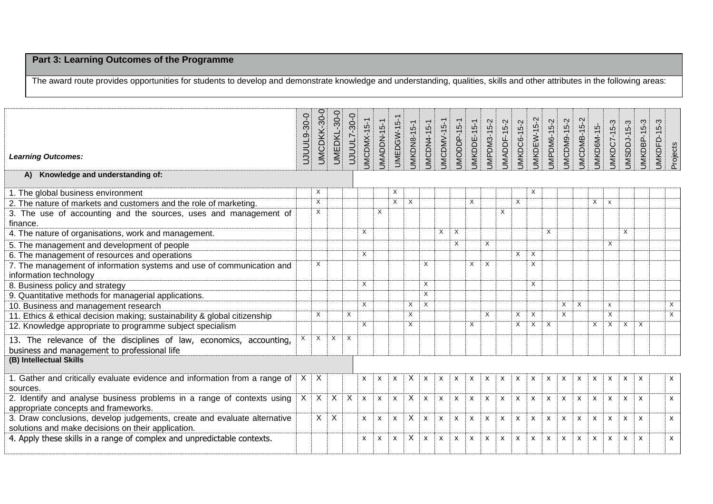# **Part 3: Learning Outcomes of the Programme**

The award route provides opportunities for students to develop and demonstrate knowledge and understanding, qualities, skills and other attributes in the following areas:

| <b>Learning Outcomes:</b>                                                                                                      | UJUUL9-30-0 | <b>UMCDKK-30-0</b>      | <b>UMEDKL-30-0</b> | <b>0-08-7100L7</b> | JMCDMX-15-1  | JMADDN-15-1  | <b>UMEDGW-15-1</b>        | <b>JMKDN8-15-1</b> | JMCDN4-15-1               | <b>JMCDMV-15-1</b>        | JMODDP-15-1               | JMKDDE-15-1               | JMPDM3-15-2               | JMADDF-15-2  | <b>JMKDC6-15-2</b>        | JMKDEW-15-2               | JMPDM6-15-2               | JMCDM9-15-2               | JMCDMB-15-2               | JMKD6M-15-   | JMKDC7-15-3               | JMSDDJ-15-3               | JMKDBP-15-3               | JMKDFD-15-3 | Projects       |
|--------------------------------------------------------------------------------------------------------------------------------|-------------|-------------------------|--------------------|--------------------|--------------|--------------|---------------------------|--------------------|---------------------------|---------------------------|---------------------------|---------------------------|---------------------------|--------------|---------------------------|---------------------------|---------------------------|---------------------------|---------------------------|--------------|---------------------------|---------------------------|---------------------------|-------------|----------------|
| A) Knowledge and understanding of:                                                                                             |             |                         |                    |                    |              |              |                           |                    |                           |                           |                           |                           |                           |              |                           |                           |                           |                           |                           |              |                           |                           |                           |             |                |
| 1. The global business environment                                                                                             |             | $\times$                |                    |                    |              |              | X                         |                    |                           |                           |                           |                           |                           |              |                           | X                         |                           |                           |                           |              |                           |                           |                           |             |                |
| 2. The nature of markets and customers and the role of marketing.                                                              |             | $\overline{X}$          |                    |                    |              |              | $\overline{X}$            | $\times$           |                           |                           |                           | $\times$                  |                           |              | $\times$                  |                           |                           |                           |                           | X            | $\mathsf{x}$              |                           |                           |             |                |
| 3. The use of accounting and the sources, uses and management of<br>finance.                                                   |             | $\times$                |                    |                    |              | X            |                           |                    |                           |                           |                           |                           |                           | Χ            |                           |                           |                           |                           |                           |              |                           |                           |                           |             |                |
| 4. The nature of organisations, work and management.                                                                           |             |                         |                    |                    | X            |              |                           |                    |                           | $\times$                  | $\times$                  |                           |                           |              |                           |                           | $\times$                  |                           |                           |              |                           | $\times$                  |                           |             |                |
| 5. The management and development of people                                                                                    |             |                         |                    |                    |              |              |                           |                    |                           |                           | X                         |                           | $\times$                  |              |                           |                           |                           |                           |                           |              | $\times$                  |                           |                           |             |                |
| 6. The management of resources and operations                                                                                  |             |                         |                    |                    | X            |              |                           |                    |                           |                           |                           |                           |                           |              | $\times$                  | $\times$                  |                           |                           |                           |              |                           |                           |                           |             |                |
| 7. The management of information systems and use of communication and<br>information technology                                |             | $\times$                |                    |                    |              |              |                           |                    | $\times$                  |                           |                           | $\times$                  | $\times$                  |              |                           | X                         |                           |                           |                           |              |                           |                           |                           |             |                |
| 8. Business policy and strategy                                                                                                |             |                         |                    |                    | $\times$     |              |                           |                    | $\times$                  |                           |                           |                           |                           |              |                           | X                         |                           |                           |                           |              |                           |                           |                           |             |                |
| 9. Quantitative methods for managerial applications.                                                                           |             |                         |                    |                    |              |              |                           |                    | $\boldsymbol{\mathsf{X}}$ |                           |                           |                           |                           |              |                           |                           |                           |                           |                           |              |                           |                           |                           |             |                |
| 10. Business and management research                                                                                           |             |                         |                    |                    | $\times$     |              |                           | X                  | $\times$                  |                           |                           |                           |                           |              |                           |                           |                           | X                         | $\times$                  |              | $\mathsf{x}$              |                           |                           |             | X              |
| 11. Ethics & ethical decision making; sustainability & global citizenship                                                      |             | $\times$                |                    | X                  |              |              |                           | $\times$           |                           |                           |                           |                           | $\times$                  |              | $\times$                  | $\times$                  |                           | $\times$                  |                           |              | $\times$                  |                           |                           |             | $\overline{X}$ |
| 12. Knowledge appropriate to programme subject specialism                                                                      |             |                         |                    |                    | X            |              |                           | $\times$           |                           |                           |                           | $\times$                  |                           |              | X                         | $\times$                  | $\times$                  |                           |                           | $\times$     | $\times$                  | $\overline{X}$            | $\times$                  |             |                |
| 13. The relevance of the disciplines of law, economics, accounting,<br>business and management to professional life            | $x \mid x$  |                         | $\times$           | $\times$           |              |              |                           |                    |                           |                           |                           |                           |                           |              |                           |                           |                           |                           |                           |              |                           |                           |                           |             |                |
| (B) Intellectual Skills                                                                                                        |             |                         |                    |                    |              |              |                           |                    |                           |                           |                           |                           |                           |              |                           |                           |                           |                           |                           |              |                           |                           |                           |             |                |
| 1. Gather and critically evaluate evidence and information from a range of<br>sources.                                         | $X \mid X$  |                         |                    |                    | X            | X            | $\boldsymbol{\mathsf{x}}$ | X                  | $\mathsf{x}$              | $\boldsymbol{\mathsf{x}}$ | X                         | $\boldsymbol{\mathsf{x}}$ | $\boldsymbol{\mathsf{x}}$ | X            | $\boldsymbol{\mathsf{x}}$ | X                         | $\boldsymbol{\mathsf{x}}$ | $\boldsymbol{\mathsf{x}}$ | X                         | X            | X                         | $\boldsymbol{\mathsf{x}}$ | $\boldsymbol{\mathsf{x}}$ |             | X              |
| 2. Identify and analyse business problems in a range of contexts using<br>appropriate concepts and frameworks.                 | X           | $\overline{\mathsf{x}}$ | $\overline{X}$     | $\mathsf{X}$       | $\pmb{\chi}$ | X            | $\boldsymbol{\mathsf{x}}$ | X                  | $\mathsf{x}$              | X                         | $\boldsymbol{\mathsf{x}}$ | $\boldsymbol{\mathsf{x}}$ | $\mathsf{x}$              | $\mathsf{x}$ | $\pmb{\chi}$              | $\mathsf{x}$              | $\mathsf{x}$              | $\mathsf{x}$              | $\boldsymbol{\mathsf{x}}$ | $\mathsf{x}$ | $\mathsf{x}$              | $\mathsf{x}$              | $\mathsf{x}$              |             | $\mathsf{x}$   |
| 3. Draw conclusions, develop judgements, create and evaluate alternative<br>solutions and make decisions on their application. |             | $\mathsf{X}$            | $\times$           |                    | $\mathsf{x}$ | $\mathsf{x}$ | $\mathsf{x}$              | $\times$           | $\mathsf{x}$              | $\mathsf{x}$              | $\mathsf{x}$              | $\mathsf{x}$              | $\mathsf{x}$              | $\mathsf{x}$ | $\mathsf{x}$              | $\mathsf{x}$              | $\mathsf{x}$              | $\mathsf{x}$              | $\mathsf{x}$              | $\mathsf{x}$ | $\mathsf{x}$              | $\mathsf{x}$              | $\mathsf{x}$              |             | $\mathsf{x}$   |
| 4. Apply these skills in a range of complex and unpredictable contexts.                                                        |             |                         |                    |                    | X            | X            | $\boldsymbol{\mathsf{x}}$ | X                  | $\mathsf{x}$              | X                         | $\boldsymbol{\mathsf{x}}$ | $\mathsf{x}$              | $\boldsymbol{\mathsf{x}}$ | $\mathsf{x}$ | $\mathsf{x}$              | $\boldsymbol{\mathsf{x}}$ | $\mathsf{x}$              | $\mathsf{x}$              | $\mathsf{x}$              | X            | $\boldsymbol{\mathsf{x}}$ | $\mathsf{x}$              | $\boldsymbol{\mathsf{x}}$ |             | X              |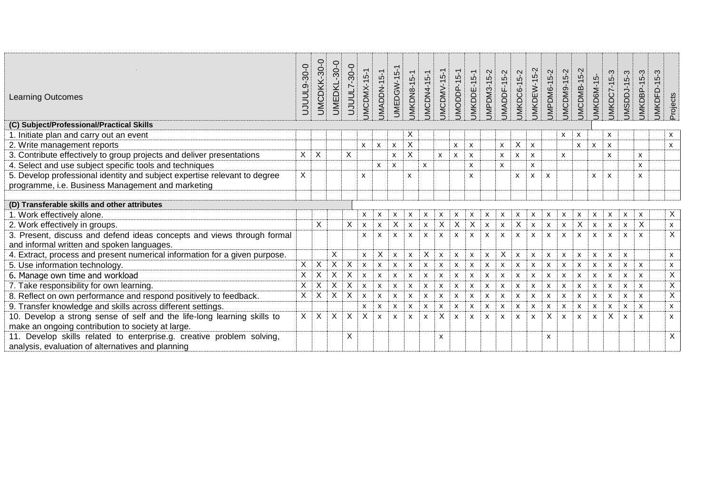| <b>Learning Outcomes</b>                                                   | $9 - 30 - 0$<br>nnn | UMCDKK-30-0               | $-30-0$<br><b>UMEDKL</b> | $-30-0$<br>UJUUL7 | <b>JMCDMX-15-1</b>        | JMADDN-15-1               | <b>UMEDGW-15-1</b>        | <b>JMKDN8-15-1</b>        | <b>UMCDN4-15-1</b>        | JMCDMV-15-1        | <b>UMODDP-15-1</b> | UMKDDE-15-1               | JMPDM3-15-2               | JMADDF-15-2        | <b>UMKDC6-15-2</b>        | <b>JMKDEW-15-2</b>        | JMPDM6-15-2               | <b>UMCDM9-15-2</b>        | <b>JMCDMB-15-2</b> | JMKD6M-15-         | <b>JMKDC7-15-3</b> | $5-3$<br>JMSDDJ-1         | JMKDBP-15-3               | 5-3<br>UMKDFD-15 | Projects       |
|----------------------------------------------------------------------------|---------------------|---------------------------|--------------------------|-------------------|---------------------------|---------------------------|---------------------------|---------------------------|---------------------------|--------------------|--------------------|---------------------------|---------------------------|--------------------|---------------------------|---------------------------|---------------------------|---------------------------|--------------------|--------------------|--------------------|---------------------------|---------------------------|------------------|----------------|
| (C) Subject/Professional/Practical Skills                                  |                     |                           |                          |                   |                           |                           |                           |                           |                           |                    |                    |                           |                           |                    |                           |                           |                           |                           |                    |                    |                    |                           |                           |                  |                |
| 1. Initiate plan and carry out an event                                    |                     |                           |                          |                   |                           |                           |                           | X                         |                           |                    |                    |                           |                           |                    |                           |                           |                           | X                         | X                  |                    | X                  |                           |                           |                  | x              |
| 2. Write management reports                                                |                     |                           |                          |                   | X                         | $\boldsymbol{\mathsf{x}}$ | X                         | X                         |                           |                    | x                  | X                         |                           | $\pmb{\mathsf{X}}$ | X                         | $\boldsymbol{\mathsf{x}}$ |                           |                           | X                  | X                  | X                  |                           |                           |                  | X              |
| 3. Contribute effectively to group projects and deliver presentations      | Χ                   | $\overline{X}$            |                          | X                 |                           |                           | x                         | X                         |                           | $\mathsf{x}$       | X                  | X                         |                           | X                  | X                         | $\pmb{\chi}$              |                           | X                         |                    |                    | x                  |                           | $\mathsf{x}$              |                  |                |
| 4. Select and use subject specific tools and techniques                    |                     |                           |                          |                   |                           | x                         | $\boldsymbol{\mathsf{x}}$ |                           | X                         |                    |                    | $\mathsf{x}$              |                           | $\mathsf{x}$       |                           | X                         |                           |                           |                    |                    |                    |                           | X                         |                  |                |
| 5. Develop professional identity and subject expertise relevant to degree  | X                   |                           |                          |                   | $\mathsf{x}$              |                           |                           | $\boldsymbol{\mathsf{x}}$ |                           |                    |                    | X                         |                           |                    | X                         | x                         | $\boldsymbol{\mathsf{x}}$ |                           |                    | X                  | X                  |                           | X                         |                  |                |
| programme, i.e. Business Management and marketing                          |                     |                           |                          |                   |                           |                           |                           |                           |                           |                    |                    |                           |                           |                    |                           |                           |                           |                           |                    |                    |                    |                           |                           |                  |                |
|                                                                            |                     |                           |                          |                   |                           |                           |                           |                           |                           |                    |                    |                           |                           |                    |                           |                           |                           |                           |                    |                    |                    |                           |                           |                  |                |
| (D) Transferable skills and other attributes                               |                     |                           |                          |                   |                           |                           |                           |                           |                           |                    |                    |                           |                           |                    |                           |                           |                           |                           |                    |                    |                    |                           |                           |                  |                |
| 1. Work effectively alone.                                                 |                     |                           |                          |                   | X                         | х                         | Х                         | x                         | X                         | X                  | х                  | х                         | X                         | x                  | X                         | x                         | X                         | X                         | x                  | X                  | X                  | х                         | X                         |                  | $\mathsf{X}$   |
| 2. Work effectively in groups.                                             |                     | $\overline{\mathsf{x}}$   |                          | Χ                 | X                         | X                         | X                         | $\boldsymbol{\mathsf{x}}$ | X                         | X                  | X                  | $\boldsymbol{\mathsf{X}}$ | $\boldsymbol{\mathsf{x}}$ | $\mathsf{x}$       | $\boldsymbol{\mathsf{X}}$ | X                         | X                         | $\boldsymbol{\mathsf{x}}$ | X                  | $\pmb{\mathsf{X}}$ | X                  | $\pmb{\mathsf{X}}$        | $\sf X$                   |                  | $\mathsf{x}$   |
| 3. Present, discuss and defend ideas concepts and views through formal     |                     |                           |                          |                   | X                         | X                         | X                         | $\mathsf{x}$              | $\mathsf{x}$              | X                  | $\mathsf{x}$       | $\pmb{\mathsf{x}}$        | $\mathsf{x}$              | $\mathsf{x}$       | $\mathsf{x}$              | X                         | X                         | $\mathsf{x}$              | $\mathsf{x}$       | X                  | $\mathsf{x}$       | $\mathsf{x}$              | $\mathsf{x}$              |                  | $\overline{X}$ |
| and informal written and spoken languages.                                 |                     |                           |                          |                   |                           |                           |                           |                           |                           |                    |                    |                           |                           |                    |                           |                           |                           |                           |                    |                    |                    |                           |                           |                  |                |
| 4. Extract, process and present numerical information for a given purpose. |                     |                           | X                        |                   | $\pmb{\times}$            | X                         | $\mathsf{x}$              | $\boldsymbol{\mathsf{x}}$ | $\boldsymbol{\mathsf{X}}$ | $\mathsf{x}$       | $\pmb{\mathsf{x}}$ | $\boldsymbol{\mathsf{x}}$ | $\pmb{\times}$            | X                  | $\boldsymbol{\mathsf{x}}$ | X                         | $\mathsf{x}$              | $\boldsymbol{\mathsf{x}}$ | X                  | X                  | x                  | $\boldsymbol{\mathsf{x}}$ |                           |                  | X              |
| 5. Use information technology.                                             | X                   | $\times$                  | X                        | X                 | $\boldsymbol{\mathsf{x}}$ | X                         | X                         | X                         | X                         | X                  | X                  | $\boldsymbol{\mathsf{x}}$ | $\boldsymbol{\mathsf{x}}$ | X                  | X                         | X                         | X                         | $\boldsymbol{\mathsf{x}}$ | X                  | X                  | Х                  | $\boldsymbol{\mathsf{x}}$ | $\boldsymbol{\mathsf{x}}$ |                  | X              |
| 6. Manage own time and workload                                            | X                   | $\times$                  | $\pmb{\times}$           | Χ                 | $\pmb{\chi}$              | X                         | X                         | $\pmb{\mathsf{X}}$        | $\boldsymbol{\mathsf{x}}$ | $\pmb{\mathsf{x}}$ | X                  | $\pmb{\mathsf{x}}$        | $\pmb{\chi}$              | $\mathsf{x}$       | X                         | X                         | X                         | $\boldsymbol{\mathsf{x}}$ | X                  | $\pmb{\mathsf{X}}$ | X                  | $\boldsymbol{\mathsf{x}}$ | $\mathsf{x}$              |                  | X              |
| 7. Take responsibility for own learning.                                   | X                   | $\times$                  | X                        | Χ                 | X                         | X                         | X                         | X                         | $\boldsymbol{\mathsf{x}}$ | X                  | X                  | X                         | $\boldsymbol{\mathsf{x}}$ | X                  | X                         | X                         | X                         | $\boldsymbol{\mathsf{x}}$ | x                  | $\mathsf{x}$       | X                  | X                         | $\boldsymbol{\mathsf{x}}$ |                  | X              |
| 8. Reflect on own performance and respond positively to feedback.          | X                   | $\overline{X}$            | Χ                        | $\pmb{\times}$    | $\boldsymbol{\mathsf{x}}$ | x                         | X                         | $\boldsymbol{\mathsf{x}}$ | $\boldsymbol{\mathsf{x}}$ | X                  | X                  | $\boldsymbol{\mathsf{x}}$ | $\boldsymbol{\mathsf{x}}$ | X                  | X                         | X                         | X                         | $\boldsymbol{\mathsf{x}}$ | X                  | $\pmb{\mathsf{X}}$ | $\pmb{\mathsf{x}}$ | X                         | $\mathsf{x}$              |                  | $\overline{X}$ |
| 9. Transfer knowledge and skills across different settings.                |                     |                           |                          |                   | X                         | X                         | x                         | Х                         | Х                         | X                  | x                  | X                         | X                         | X                  | X                         | X                         | x                         | X                         | X                  | X                  | X                  | $\boldsymbol{\mathsf{x}}$ | $\boldsymbol{\mathsf{x}}$ |                  | X              |
| 10. Develop a strong sense of self and the life-long learning skills to    | X                   | $\boldsymbol{\mathsf{X}}$ | X                        | X                 | $\overline{X}$            | X                         | X                         | $\boldsymbol{\mathsf{x}}$ | X                         | $\overline{X}$     | X                  | X                         | $\boldsymbol{\mathsf{x}}$ | X                  | X                         | X                         | $\overline{x}$            | $\mathsf{x}$              | $\mathsf{x}$       | $\mathsf{x}$       | $\overline{X}$     | $\mathsf{x}$              | $\mathsf{x}$              |                  | $\mathsf{x}$   |
| make an ongoing contribution to society at large.                          |                     |                           |                          |                   |                           |                           |                           |                           |                           |                    |                    |                           |                           |                    |                           |                           |                           |                           |                    |                    |                    |                           |                           |                  |                |
| 11. Develop skills related to enterprise.g. creative problem solving,      |                     |                           |                          | X                 |                           |                           |                           |                           |                           | X                  |                    |                           |                           |                    |                           |                           | x                         |                           |                    |                    |                    |                           |                           |                  | $\overline{X}$ |
| analysis, evaluation of alternatives and planning                          |                     |                           |                          |                   |                           |                           |                           |                           |                           |                    |                    |                           |                           |                    |                           |                           |                           |                           |                    |                    |                    |                           |                           |                  |                |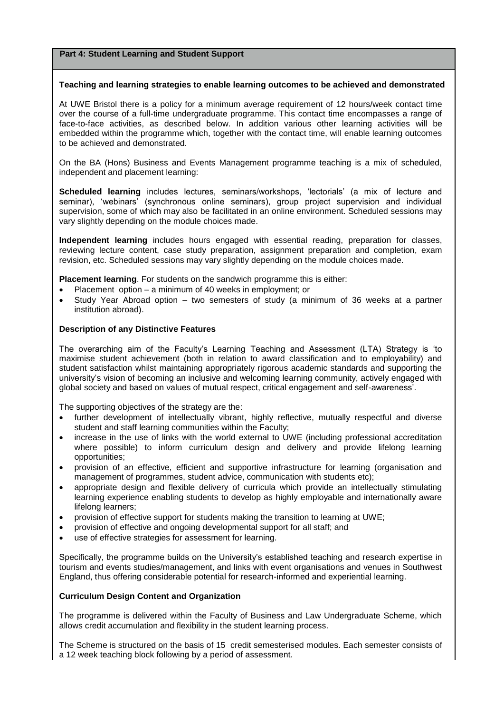#### **Teaching and learning strategies to enable learning outcomes to be achieved and demonstrated**

At UWE Bristol there is a policy for a minimum average requirement of 12 hours/week contact time over the course of a full-time undergraduate programme. This contact time encompasses a range of face-to-face activities, as described below. In addition various other learning activities will be embedded within the programme which, together with the contact time, will enable learning outcomes to be achieved and demonstrated.

On the BA (Hons) Business and Events Management programme teaching is a mix of scheduled, independent and placement learning:

**Scheduled learning** includes lectures, seminars/workshops, 'lectorials' (a mix of lecture and seminar), 'webinars' (synchronous online seminars), group project supervision and individual supervision, some of which may also be facilitated in an online environment. Scheduled sessions may vary slightly depending on the module choices made.

**Independent learning** includes hours engaged with essential reading, preparation for classes, reviewing lecture content, case study preparation, assignment preparation and completion, exam revision, etc. Scheduled sessions may vary slightly depending on the module choices made.

**Placement learning**. For students on the sandwich programme this is either:

- Placement option a minimum of 40 weeks in employment; or
- Study Year Abroad option two semesters of study (a minimum of 36 weeks at a partner institution abroad).

## **Description of any Distinctive Features**

The overarching aim of the Faculty's Learning Teaching and Assessment (LTA) Strategy is 'to maximise student achievement (both in relation to award classification and to employability) and student satisfaction whilst maintaining appropriately rigorous academic standards and supporting the university's vision of becoming an inclusive and welcoming learning community, actively engaged with global society and based on values of mutual respect, critical engagement and self-awareness'.

The supporting objectives of the strategy are the:

- further development of intellectually vibrant, highly reflective, mutually respectful and diverse student and staff learning communities within the Faculty;
- increase in the use of links with the world external to UWE (including professional accreditation where possible) to inform curriculum design and delivery and provide lifelong learning opportunities;
- provision of an effective, efficient and supportive infrastructure for learning (organisation and management of programmes, student advice, communication with students etc);
- appropriate design and flexible delivery of curricula which provide an intellectually stimulating learning experience enabling students to develop as highly employable and internationally aware lifelong learners;
- provision of effective support for students making the transition to learning at UWE;
- provision of effective and ongoing developmental support for all staff; and
- use of effective strategies for assessment for learning.

Specifically, the programme builds on the University's established teaching and research expertise in tourism and events studies/management, and links with event organisations and venues in Southwest England, thus offering considerable potential for research-informed and experiential learning.

## **Curriculum Design Content and Organization**

The programme is delivered within the Faculty of Business and Law Undergraduate Scheme, which allows credit accumulation and flexibility in the student learning process.

The Scheme is structured on the basis of 15 credit semesterised modules. Each semester consists of a 12 week teaching block following by a period of assessment.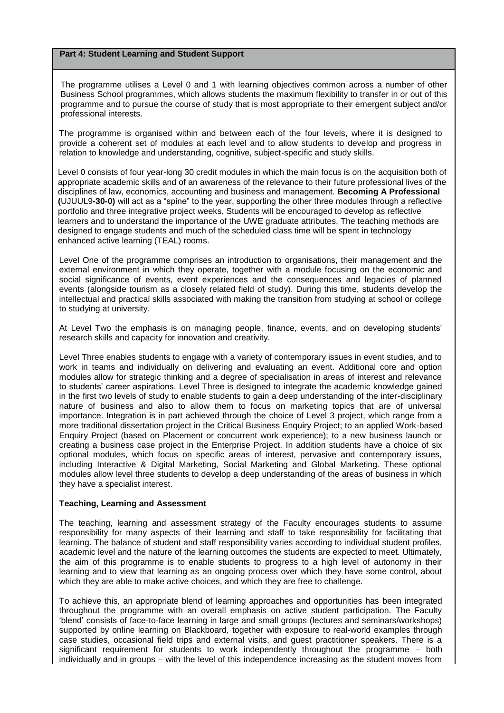The programme utilises a Level 0 and 1 with learning objectives common across a number of other Business School programmes, which allows students the maximum flexibility to transfer in or out of this programme and to pursue the course of study that is most appropriate to their emergent subject and/or professional interests.

The programme is organised within and between each of the four levels, where it is designed to provide a coherent set of modules at each level and to allow students to develop and progress in relation to knowledge and understanding, cognitive, subject-specific and study skills.

Level 0 consists of four year-long 30 credit modules in which the main focus is on the acquisition both of appropriate academic skills and of an awareness of the relevance to their future professional lives of the disciplines of law, economics, accounting and business and management. **Becoming A Professional (**UJUUL9**-30-0)** will act as a "spine" to the year, supporting the other three modules through a reflective portfolio and three integrative project weeks. Students will be encouraged to develop as reflective learners and to understand the importance of the UWE graduate attributes. The teaching methods are designed to engage students and much of the scheduled class time will be spent in technology enhanced active learning (TEAL) rooms.

Level One of the programme comprises an introduction to organisations, their management and the external environment in which they operate, together with a module focusing on the economic and social significance of events, event experiences and the consequences and legacies of planned events (alongside tourism as a closely related field of study). During this time, students develop the intellectual and practical skills associated with making the transition from studying at school or college to studying at university.

At Level Two the emphasis is on managing people, finance, events, and on developing students' research skills and capacity for innovation and creativity.

Level Three enables students to engage with a variety of contemporary issues in event studies, and to work in teams and individually on delivering and evaluating an event. Additional core and option modules allow for strategic thinking and a degree of specialisation in areas of interest and relevance to students' career aspirations. Level Three is designed to integrate the academic knowledge gained in the first two levels of study to enable students to gain a deep understanding of the inter-disciplinary nature of business and also to allow them to focus on marketing topics that are of universal importance. Integration is in part achieved through the choice of Level 3 project, which range from a more traditional dissertation project in the Critical Business Enquiry Project; to an applied Work-based Enquiry Project (based on Placement or concurrent work experience); to a new business launch or creating a business case project in the Enterprise Project. In addition students have a choice of six optional modules, which focus on specific areas of interest, pervasive and contemporary issues, including Interactive & Digital Marketing, Social Marketing and Global Marketing. These optional modules allow level three students to develop a deep understanding of the areas of business in which they have a specialist interest.

#### **Teaching, Learning and Assessment**

The teaching, learning and assessment strategy of the Faculty encourages students to assume responsibility for many aspects of their learning and staff to take responsibility for facilitating that learning. The balance of student and staff responsibility varies according to individual student profiles, academic level and the nature of the learning outcomes the students are expected to meet. Ultimately, the aim of this programme is to enable students to progress to a high level of autonomy in their learning and to view that learning as an ongoing process over which they have some control, about which they are able to make active choices, and which they are free to challenge.

To achieve this, an appropriate blend of learning approaches and opportunities has been integrated throughout the programme with an overall emphasis on active student participation. The Faculty 'blend' consists of face-to-face learning in large and small groups (lectures and seminars/workshops) supported by online learning on Blackboard, together with exposure to real-world examples through case studies, occasional field trips and external visits, and guest practitioner speakers. There is a significant requirement for students to work independently throughout the programme – both individually and in groups – with the level of this independence increasing as the student moves from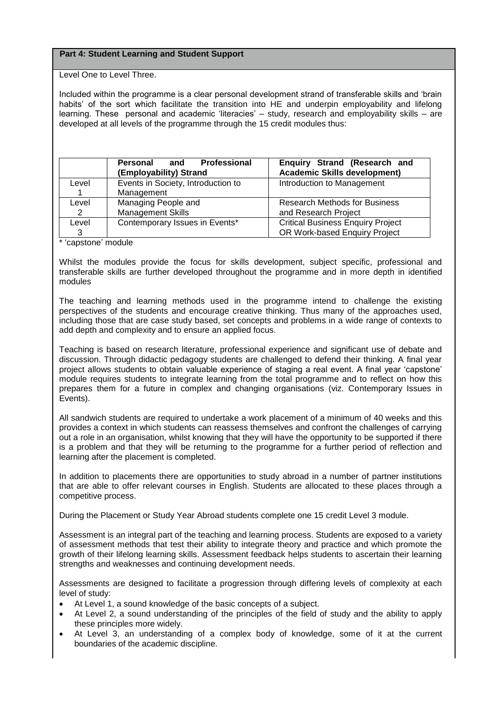Level One to Level Three.

Included within the programme is a clear personal development strand of transferable skills and 'brain habits' of the sort which facilitate the transition into HE and underpin employability and lifelong learning. These personal and academic 'literacies' - study, research and employability skills - are developed at all levels of the programme through the 15 credit modules thus:

|       | Professional<br>Personal<br>and<br>(Employability) Strand | Enquiry Strand (Research and<br><b>Academic Skills development)</b> |  |  |  |  |  |
|-------|-----------------------------------------------------------|---------------------------------------------------------------------|--|--|--|--|--|
| Level | Events in Society, Introduction to                        | Introduction to Management                                          |  |  |  |  |  |
|       | Management                                                |                                                                     |  |  |  |  |  |
| Level | Managing People and                                       | <b>Research Methods for Business</b>                                |  |  |  |  |  |
| 2     | <b>Management Skills</b>                                  | and Research Project                                                |  |  |  |  |  |
| Level | Contemporary Issues in Events*                            | <b>Critical Business Enquiry Project</b>                            |  |  |  |  |  |
| 3     |                                                           | OR Work-based Enquiry Project                                       |  |  |  |  |  |

\* 'capstone' module

Whilst the modules provide the focus for skills development, subject specific, professional and transferable skills are further developed throughout the programme and in more depth in identified modules

The teaching and learning methods used in the programme intend to challenge the existing perspectives of the students and encourage creative thinking. Thus many of the approaches used, including those that are case study based, set concepts and problems in a wide range of contexts to add depth and complexity and to ensure an applied focus.

Teaching is based on research literature, professional experience and significant use of debate and discussion. Through didactic pedagogy students are challenged to defend their thinking. A final year project allows students to obtain valuable experience of staging a real event. A final year 'capstone' module requires students to integrate learning from the total programme and to reflect on how this prepares them for a future in complex and changing organisations (viz. Contemporary Issues in Events).

All sandwich students are required to undertake a work placement of a minimum of 40 weeks and this provides a context in which students can reassess themselves and confront the challenges of carrying out a role in an organisation, whilst knowing that they will have the opportunity to be supported if there is a problem and that they will be returning to the programme for a further period of reflection and learning after the placement is completed.

In addition to placements there are opportunities to study abroad in a number of partner institutions that are able to offer relevant courses in English. Students are allocated to these places through a competitive process.

During the Placement or Study Year Abroad students complete one 15 credit Level 3 module.

Assessment is an integral part of the teaching and learning process. Students are exposed to a variety of assessment methods that test their ability to integrate theory and practice and which promote the growth of their lifelong learning skills. Assessment feedback helps students to ascertain their learning strengths and weaknesses and continuing development needs.

Assessments are designed to facilitate a progression through differing levels of complexity at each level of study:

- At Level 1, a sound knowledge of the basic concepts of a subject.
- At Level 2, a sound understanding of the principles of the field of study and the ability to apply these principles more widely.
- At Level 3, an understanding of a complex body of knowledge, some of it at the current boundaries of the academic discipline.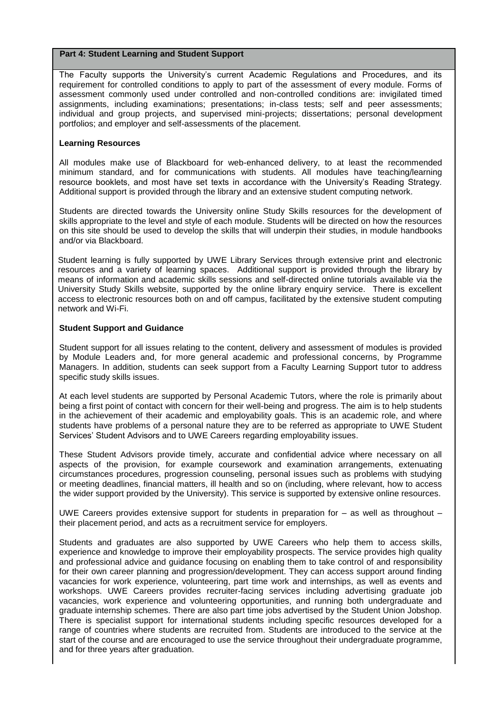The Faculty supports the University's current Academic Regulations and Procedures, and its requirement for controlled conditions to apply to part of the assessment of every module. Forms of assessment commonly used under controlled and non-controlled conditions are: invigilated timed assignments, including examinations; presentations; in-class tests; self and peer assessments; individual and group projects, and supervised mini-projects; dissertations; personal development portfolios; and employer and self-assessments of the placement.

#### **Learning Resources**

All modules make use of Blackboard for web-enhanced delivery, to at least the recommended minimum standard, and for communications with students. All modules have teaching/learning resource booklets, and most have set texts in accordance with the University's Reading Strategy. Additional support is provided through the library and an extensive student computing network.

Students are directed towards the University online Study Skills resources for the development of skills appropriate to the level and style of each module. Students will be directed on how the resources on this site should be used to develop the skills that will underpin their studies, in module handbooks and/or via Blackboard.

Student learning is fully supported by UWE Library Services through extensive print and electronic resources and a variety of learning spaces. Additional support is provided through the library by means of information and academic skills sessions and self-directed online tutorials available via the University Study Skills website, supported by the online library enquiry service. There is excellent access to electronic resources both on and off campus, facilitated by the extensive student computing network and Wi-Fi.

#### **Student Support and Guidance**

Student support for all issues relating to the content, delivery and assessment of modules is provided by Module Leaders and, for more general academic and professional concerns, by Programme Managers. In addition, students can seek support from a Faculty Learning Support tutor to address specific study skills issues.

At each level students are supported by Personal Academic Tutors, where the role is primarily about being a first point of contact with concern for their well-being and progress. The aim is to help students in the achievement of their academic and employability goals. This is an academic role, and where students have problems of a personal nature they are to be referred as appropriate to UWE Student Services' Student Advisors and to UWE Careers regarding employability issues.

These Student Advisors provide timely, accurate and confidential advice where necessary on all aspects of the provision, for example coursework and examination arrangements, extenuating circumstances procedures, progression counseling, personal issues such as problems with studying or meeting deadlines, financial matters, ill health and so on (including, where relevant, how to access the wider support provided by the University). This service is supported by extensive online resources.

UWE Careers provides extensive support for students in preparation for – as well as throughout – their placement period, and acts as a recruitment service for employers.

Students and graduates are also supported by UWE Careers who help them to access skills, experience and knowledge to improve their employability prospects. The service provides high quality and professional advice and guidance focusing on enabling them to take control of and responsibility for their own career planning and progression/development. They can access support around finding vacancies for work experience, volunteering, part time work and internships, as well as events and workshops. UWE Careers provides recruiter-facing services including advertising graduate job vacancies, work experience and volunteering opportunities, and running both undergraduate and graduate internship schemes. There are also part time jobs advertised by the Student Union Jobshop. There is specialist support for international students including specific resources developed for a range of countries where students are recruited from. Students are introduced to the service at the start of the course and are encouraged to use the service throughout their undergraduate programme, and for three years after graduation.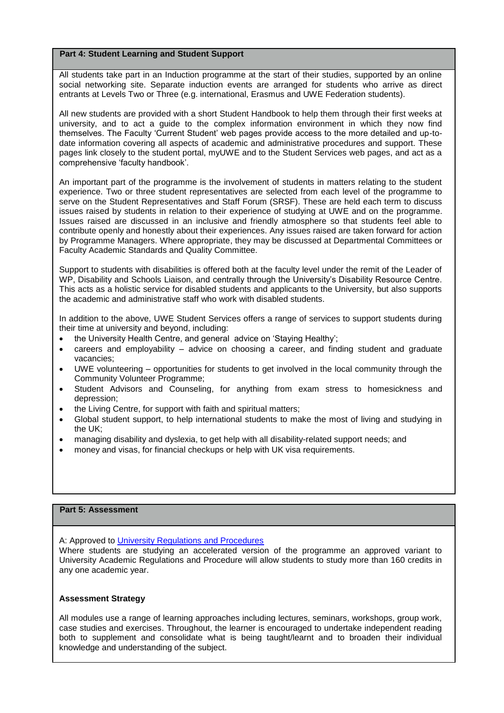All students take part in an Induction programme at the start of their studies, supported by an online social networking site. Separate induction events are arranged for students who arrive as direct entrants at Levels Two or Three (e.g. international, Erasmus and UWE Federation students).

All new students are provided with a short Student Handbook to help them through their first weeks at university, and to act a guide to the complex information environment in which they now find themselves. The Faculty 'Current Student' web pages provide access to the more detailed and up-todate information covering all aspects of academic and administrative procedures and support. These pages link closely to the student portal, myUWE and to the Student Services web pages, and act as a comprehensive 'faculty handbook'.

An important part of the programme is the involvement of students in matters relating to the student experience. Two or three student representatives are selected from each level of the programme to serve on the Student Representatives and Staff Forum (SRSF). These are held each term to discuss issues raised by students in relation to their experience of studying at UWE and on the programme. Issues raised are discussed in an inclusive and friendly atmosphere so that students feel able to contribute openly and honestly about their experiences. Any issues raised are taken forward for action by Programme Managers. Where appropriate, they may be discussed at Departmental Committees or Faculty Academic Standards and Quality Committee.

Support to students with disabilities is offered both at the faculty level under the remit of the Leader of WP, Disability and Schools Liaison, and centrally through the University's Disability Resource Centre. This acts as a holistic service for disabled students and applicants to the University, but also supports the academic and administrative staff who work with disabled students.

In addition to the above, UWE Student Services offers a range of services to support students during their time at university and beyond, including:

- the University Health Centre, and general advice on 'Staying Healthy';
- careers and employability advice on choosing a career, and finding student and graduate vacancies;
- UWE volunteering opportunities for students to get involved in the local community through the Community Volunteer Programme;
- Student Advisors and Counseling, for anything from exam stress to homesickness and depression;
- the Living Centre, for support with faith and spiritual matters;
- Global student support, to help international students to make the most of living and studying in the UK;
- managing disability and dyslexia, to get help with all disability-related support needs; and
- money and visas, for financial checkups or help with UK visa requirements.

## **Part 5: Assessment**

A: Approved to [University Regulations and Procedures](http://www1.uwe.ac.uk/students/academicadvice/assessments/regulationsandprocedures.aspx)

Where students are studying an accelerated version of the programme an approved variant to University Academic Regulations and Procedure will allow students to study more than 160 credits in any one academic year.

### **Assessment Strategy**

All modules use a range of learning approaches including lectures, seminars, workshops, group work, case studies and exercises. Throughout, the learner is encouraged to undertake independent reading both to supplement and consolidate what is being taught/learnt and to broaden their individual knowledge and understanding of the subject.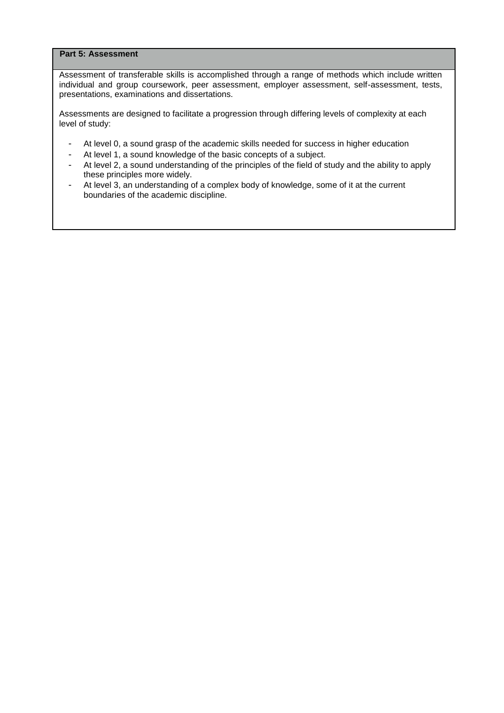## **Part 5: Assessment**

Assessment of transferable skills is accomplished through a range of methods which include written individual and group coursework, peer assessment, employer assessment, self-assessment, tests, presentations, examinations and dissertations.

Assessments are designed to facilitate a progression through differing levels of complexity at each level of study:

- At level 0, a sound grasp of the academic skills needed for success in higher education
- At level 1, a sound knowledge of the basic concepts of a subject.
- At level 2, a sound understanding of the principles of the field of study and the ability to apply these principles more widely.
- At level 3, an understanding of a complex body of knowledge, some of it at the current boundaries of the academic discipline.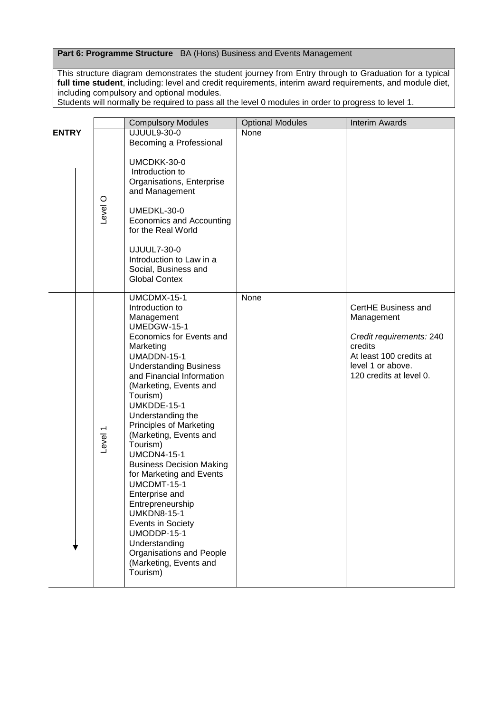## **Part 6: Programme Structure** BA (Hons) Business and Events Management

This structure diagram demonstrates the student journey from Entry through to Graduation for a typical **full time student**, including: level and credit requirements, interim award requirements, and module diet, including compulsory and optional modules.

Students will normally be required to pass all the level 0 modules in order to progress to level 1.

|              |                    | <b>Compulsory Modules</b>                                                                                                                                                                                                                                                                                                                                                                                                                                                                                                                                                                                                  | <b>Optional Modules</b> | <b>Interim Awards</b>                                                                                                                               |
|--------------|--------------------|----------------------------------------------------------------------------------------------------------------------------------------------------------------------------------------------------------------------------------------------------------------------------------------------------------------------------------------------------------------------------------------------------------------------------------------------------------------------------------------------------------------------------------------------------------------------------------------------------------------------------|-------------------------|-----------------------------------------------------------------------------------------------------------------------------------------------------|
| <b>ENTRY</b> |                    | <b>UJUUL9-30-0</b>                                                                                                                                                                                                                                                                                                                                                                                                                                                                                                                                                                                                         | None                    |                                                                                                                                                     |
|              |                    | Becoming a Professional                                                                                                                                                                                                                                                                                                                                                                                                                                                                                                                                                                                                    |                         |                                                                                                                                                     |
|              | <b>Level</b> O     | UMCDKK-30-0<br>Introduction to<br>Organisations, Enterprise<br>and Management<br>UMEDKL-30-0<br>Economics and Accounting<br>for the Real World<br><b>UJUUL7-30-0</b><br>Introduction to Law in a<br>Social, Business and<br><b>Global Contex</b>                                                                                                                                                                                                                                                                                                                                                                           |                         |                                                                                                                                                     |
|              | Level <sub>1</sub> | UMCDMX-15-1<br>Introduction to<br>Management<br>UMEDGW-15-1<br>Economics for Events and<br>Marketing<br>UMADDN-15-1<br><b>Understanding Business</b><br>and Financial Information<br>(Marketing, Events and<br>Tourism)<br>UMKDDE-15-1<br>Understanding the<br><b>Principles of Marketing</b><br>(Marketing, Events and<br>Tourism)<br><b>UMCDN4-15-1</b><br><b>Business Decision Making</b><br>for Marketing and Events<br>UMCDMT-15-1<br>Enterprise and<br>Entrepreneurship<br><b>UMKDN8-15-1</b><br>Events in Society<br>UMODDP-15-1<br>Understanding<br>Organisations and People<br>(Marketing, Events and<br>Tourism) | None                    | CertHE Business and<br>Management<br>Credit requirements: 240<br>credits<br>At least 100 credits at<br>level 1 or above.<br>120 credits at level 0. |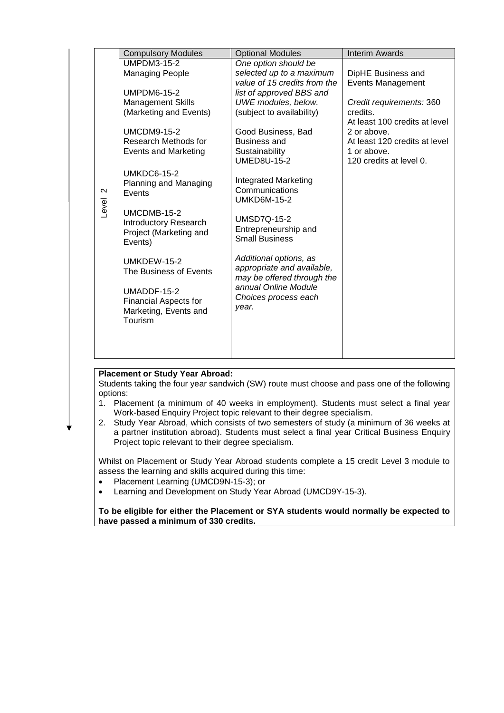|                   | <b>Compulsory Modules</b>        | <b>Optional Modules</b>                              | <b>Interim Awards</b>                  |
|-------------------|----------------------------------|------------------------------------------------------|----------------------------------------|
|                   | <b>UMPDM3-15-2</b>               | One option should be                                 |                                        |
|                   | <b>Managing People</b>           | selected up to a maximum                             | DipHE Business and                     |
|                   |                                  | value of 15 credits from the                         | <b>Events Management</b>               |
|                   | <b>UMPDM6-15-2</b>               | list of approved BBS and                             |                                        |
|                   | <b>Management Skills</b>         | UWE modules, below.                                  | Credit requirements: 360               |
|                   | (Marketing and Events)           | (subject to availability)                            | credits.                               |
|                   |                                  |                                                      | At least 100 credits at level          |
|                   | <b>UMCDM9-15-2</b>               | Good Business, Bad                                   | 2 or above.                            |
|                   | Research Methods for             | <b>Business and</b>                                  | At least 120 credits at level          |
|                   | <b>Events and Marketing</b>      | Sustainability                                       | 1 or above.<br>120 credits at level 0. |
|                   |                                  | <b>UMED8U-15-2</b>                                   |                                        |
|                   | <b>UMKDC6-15-2</b>               | <b>Integrated Marketing</b>                          |                                        |
| $\mathbf{\Omega}$ | Planning and Managing<br>Events  | Communications                                       |                                        |
|                   |                                  | <b>UMKD6M-15-2</b>                                   |                                        |
| Level             | UMCDMB-15-2                      |                                                      |                                        |
|                   | <b>Introductory Research</b>     | <b>UMSD7Q-15-2</b>                                   |                                        |
|                   | Project (Marketing and           | Entrepreneurship and                                 |                                        |
|                   | Events)                          | <b>Small Business</b>                                |                                        |
|                   |                                  |                                                      |                                        |
|                   | UMKDEW-15-2                      | Additional options, as<br>appropriate and available, |                                        |
|                   | The Business of Events           | may be offered through the                           |                                        |
|                   |                                  | annual Online Module                                 |                                        |
|                   | UMADDF-15-2                      | Choices process each                                 |                                        |
|                   | <b>Financial Aspects for</b>     | year.                                                |                                        |
|                   | Marketing, Events and<br>Tourism |                                                      |                                        |
|                   |                                  |                                                      |                                        |
|                   |                                  |                                                      |                                        |
|                   |                                  |                                                      |                                        |
|                   |                                  |                                                      |                                        |

## **Placement or Study Year Abroad:**

Students taking the four year sandwich (SW) route must choose and pass one of the following options:

- 1. Placement (a minimum of 40 weeks in employment). Students must select a final year Work-based Enquiry Project topic relevant to their degree specialism.
- 2. Study Year Abroad, which consists of two semesters of study (a minimum of 36 weeks at a partner institution abroad). Students must select a final year Critical Business Enquiry Project topic relevant to their degree specialism.

Whilst on Placement or Study Year Abroad students complete a 15 credit Level 3 module to assess the learning and skills acquired during this time:

- Placement Learning (UMCD9N-15-3); or
- Learning and Development on Study Year Abroad (UMCD9Y-15-3).

**To be eligible for either the Placement or SYA students would normally be expected to have passed a minimum of 330 credits.**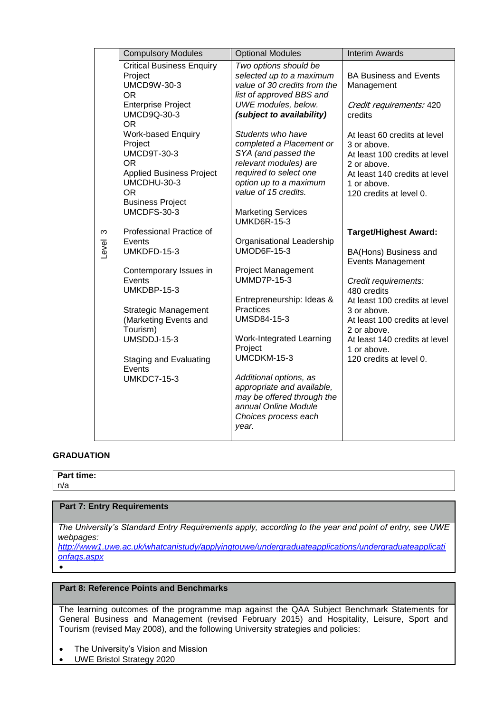|            | <b>Compulsory Modules</b>                                                                                                                                                                                                                                               | <b>Optional Modules</b>                                                                                                                                                                                                                                                                                                                                                                                                    | <b>Interim Awards</b>                                                                                                                                                                                                                                                                               |
|------------|-------------------------------------------------------------------------------------------------------------------------------------------------------------------------------------------------------------------------------------------------------------------------|----------------------------------------------------------------------------------------------------------------------------------------------------------------------------------------------------------------------------------------------------------------------------------------------------------------------------------------------------------------------------------------------------------------------------|-----------------------------------------------------------------------------------------------------------------------------------------------------------------------------------------------------------------------------------------------------------------------------------------------------|
|            | <b>Critical Business Enquiry</b><br>Project<br><b>UMCD9W-30-3</b><br><b>OR</b><br><b>Enterprise Project</b><br><b>UMCD9Q-30-3</b>                                                                                                                                       | Two options should be<br>selected up to a maximum<br>value of 30 credits from the<br>list of approved BBS and<br>UWE modules, below.<br>(subject to availability)                                                                                                                                                                                                                                                          | <b>BA Business and Events</b><br>Management<br>Credit requirements: 420<br>credits                                                                                                                                                                                                                  |
|            | <b>OR</b><br><b>Work-based Enquiry</b><br>Project<br><b>UMCD9T-30-3</b><br><b>OR</b><br><b>Applied Business Project</b><br>UMCDHU-30-3<br><b>OR</b><br><b>Business Project</b>                                                                                          | Students who have<br>completed a Placement or<br>SYA (and passed the<br>relevant modules) are<br>required to select one<br>option up to a maximum<br>value of 15 credits.                                                                                                                                                                                                                                                  | At least 60 credits at level<br>3 or above.<br>At least 100 credits at level<br>2 or above.<br>At least 140 credits at level<br>1 or above.<br>120 credits at level 0.                                                                                                                              |
| ო<br>Level | UMCDFS-30-3<br>Professional Practice of<br>Events<br>UMKDFD-15-3<br>Contemporary Issues in<br>Events<br>UMKDBP-15-3<br><b>Strategic Management</b><br>(Marketing Events and<br>Tourism)<br>UMSDDJ-15-3<br><b>Staging and Evaluating</b><br>Events<br><b>UMKDC7-15-3</b> | <b>Marketing Services</b><br><b>UMKD6R-15-3</b><br>Organisational Leadership<br><b>UMOD6F-15-3</b><br><b>Project Management</b><br><b>UMMD7P-15-3</b><br>Entrepreneurship: Ideas &<br>Practices<br><b>UMSD84-15-3</b><br>Work-Integrated Learning<br>Project<br>UMCDKM-15-3<br>Additional options, as<br>appropriate and available,<br>may be offered through the<br>annual Online Module<br>Choices process each<br>year. | <b>Target/Highest Award:</b><br>BA(Hons) Business and<br><b>Events Management</b><br>Credit requirements:<br>480 credits<br>At least 100 credits at level<br>3 or above.<br>At least 100 credits at level<br>2 or above.<br>At least 140 credits at level<br>1 or above.<br>120 credits at level 0. |

## **GRADUATION**

#### **Part time:** n/a

 $\bullet$ 

## **Part 7: Entry Requirements**

*The University's Standard Entry Requirements apply, according to the year and point of entry, see UWE webpages:* 

*[http://www1.uwe.ac.uk/whatcanistudy/applyingtouwe/undergraduateapplications/undergraduateapplicati](http://www1.uwe.ac.uk/whatcanistudy/applyingtouwe/undergraduateapplications/undergraduateapplicationfaqs.aspx) [onfaqs.aspx](http://www1.uwe.ac.uk/whatcanistudy/applyingtouwe/undergraduateapplications/undergraduateapplicationfaqs.aspx)*

## **Part 8: Reference Points and Benchmarks**

The learning outcomes of the programme map against the QAA Subject Benchmark Statements for General Business and Management (revised February 2015) and Hospitality, Leisure, Sport and Tourism (revised May 2008), and the following University strategies and policies:

- The University's Vision and Mission
- UWE Bristol Strategy 2020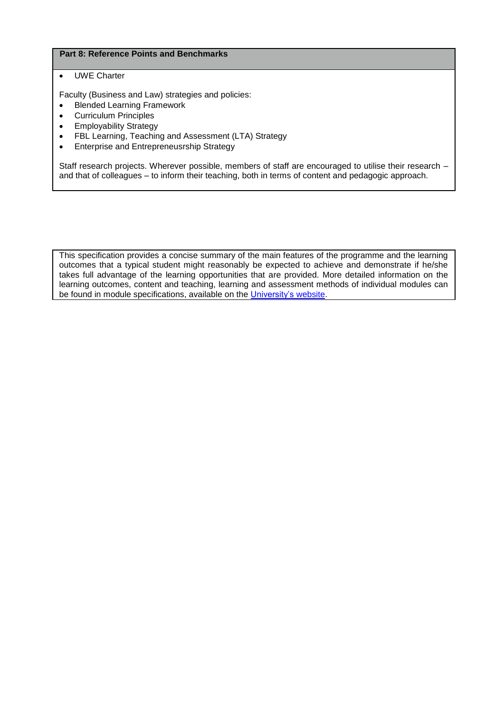## **Part 8: Reference Points and Benchmarks**

## UWE Charter

Faculty (Business and Law) strategies and policies:

- [Blended Learning Framework](https://share.uwe.ac.uk/sites/bbs/prog/qa/UG%20Clustering%20Activities%201011/UG%20Redesign%20documents%20(all%20supporting%20docs)/FBL%20Strategy%20documents%20informing%20the%20UG%20Redesign/Blended%20Learning%20Framework.docx)
- [Curriculum Principles](https://share.uwe.ac.uk/sites/bbs/prog/qa/UG%20Clustering%20Activities%201011/UG%20Redesign%20documents%20(all%20supporting%20docs)/FBL%20Strategy%20documents%20informing%20the%20UG%20Redesign/Curriculum%20Principles.docx)
- [Employability Strategy](https://share.uwe.ac.uk/sites/bbs/prog/qa/UG%20Clustering%20Activities%201011/UG%20Redesign%20documents%20(all%20supporting%20docs)/FBL%20Strategy%20documents%20informing%20the%20UG%20Redesign/Employability%20Strategy.docx)
- [FBL Learning, Teaching and Assessment \(LTA\) Strategy](https://share.uwe.ac.uk/sites/bbs/prog/qa/UG%20Clustering%20Activities%201011/UG%20Redesign%20documents%20(all%20supporting%20docs)/FBL%20Strategy%20documents%20informing%20the%20UG%20Redesign/Faculty%20of%20Business%20and%20Law%20LTA%20Strategy.docx)
- Enterprise and Entrepreneusrship Strategy

Staff research projects. Wherever possible, members of staff are encouraged to utilise their research – and that of colleagues – to inform their teaching, both in terms of content and pedagogic approach.

This specification provides a concise summary of the main features of the programme and the learning outcomes that a typical student might reasonably be expected to achieve and demonstrate if he/she takes full advantage of the learning opportunities that are provided. More detailed information on the learning outcomes, content and teaching, learning and assessment methods of individual modules can be found in module specifications, available on the [University's](http://info.uwe.ac.uk/modules/) website.